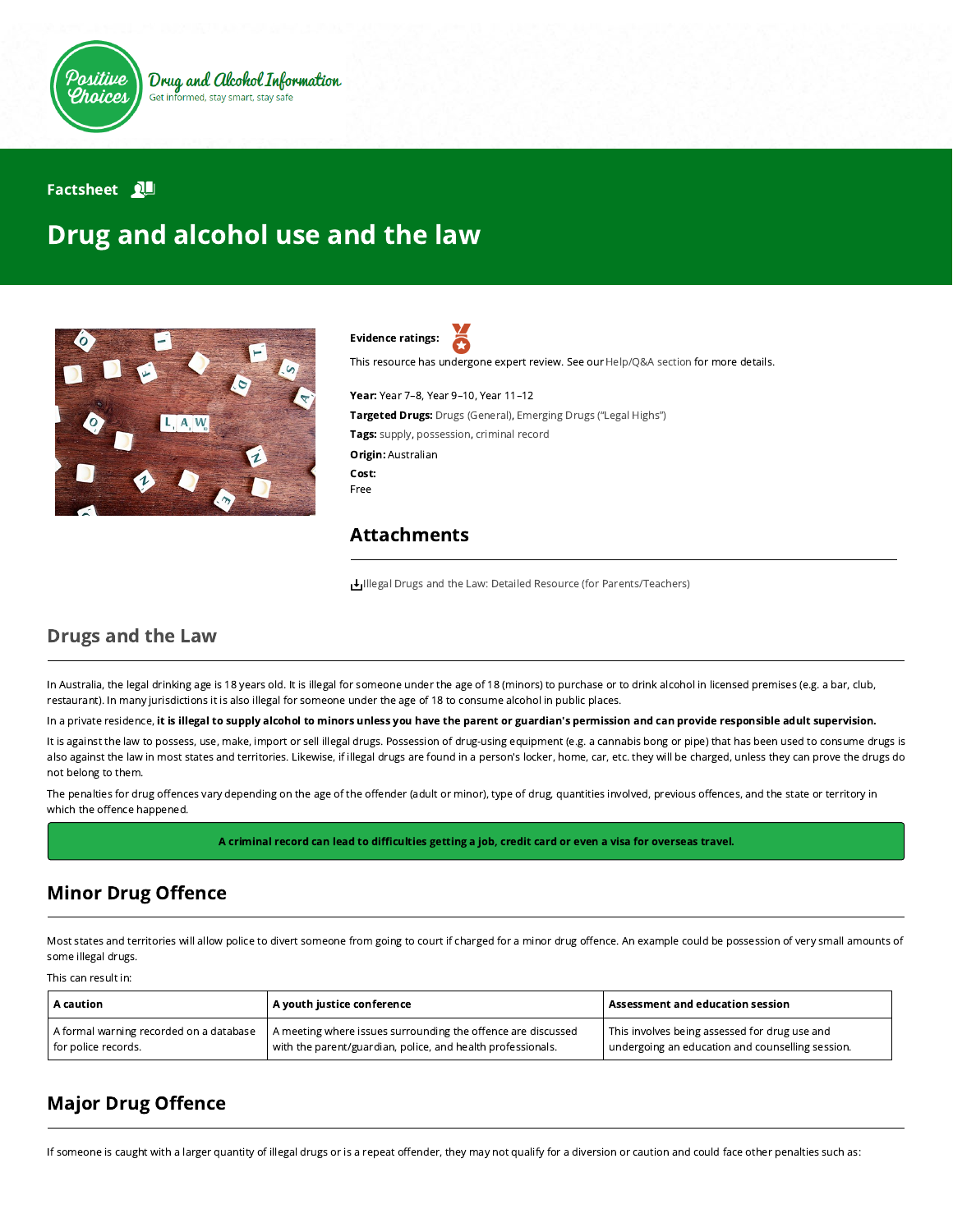

#### **Factsheet** 2

# Drug and alcohol use and the law



Evidence ratings:

This resource has undergone expert review. See our [Help/Q&A section](https://positivechoices.org.au/help/questions-and-answers/) for more details.

Year: Year 7–8, Year 9–10, Year 11–12 Targeted Drugs: Drugs (General), Emerging Drugs ("Legal Highs") Tags: supply, possession, criminal record Origin: Australian Cost: Free

#### Attachments

[Illegal Drugs and the Law: Detailed Resource \(for Parents/Teachers\)](https://positivechoices.org.au/documents/CCPlWE3eBQ/illegal-drugs-and-the-law-detailed-resource-for-parentsteachers/)

#### Drugs and the Law

In Australia, the legal drinking age is 18 years old. It is illegal for someone under the age of 18 (minors) to purchase or to drink alcohol in licensed premises (e.g. a bar, club, restaurant). In many jurisdictions it is also illegal for someone under the age of 18 to consume alcohol in public places.

In a private residence, it is illegal to supply alcohol to minors unless you have the parent or guardian's permission and can provide responsible adult supervision.

It is against the law to possess, use, make, import or sell illegal drugs. Possession of drug-using equipment (e.g. a cannabis bong or pipe) that has been used to consume drugs is also against the law in most states and territories. Likewise, if illegal drugs are found in a person's locker, home, car, etc. they will be charged, unless they can prove the drugs do not belong to them.

The penalties for drug offences vary depending on the age of the offender (adult or minor), type of drug, quantities involved, previous offences, and the state or territory in which the offence happened.

A criminal record can lead to difficulties getting a job, credit card or even a visa for overseas travel.

### **Minor Drug Offence**

Most states and territories will allow police to divert someone from going to court if charged for a minor drug offence. An example could be possession of very small amounts of some illegal drugs.

This can result in:

| $\overline{\phantom{a}}$ A caution      | A youth justice conference                                   | $\mid$ Assessment and education session $\mid$   |
|-----------------------------------------|--------------------------------------------------------------|--------------------------------------------------|
| A formal warning recorded on a database | A meeting where issues surrounding the offence are discussed | This involves being assessed for drug use and    |
| for police records.                     | with the parent/guardian, police, and health professionals.  | undergoing an education and counselling session. |

# **Major Drug Offence**

If someone is caught with a larger quantity of illegal drugs or is a repeat offender, they may not qualify for a diversion or caution and could face other penalties such as: